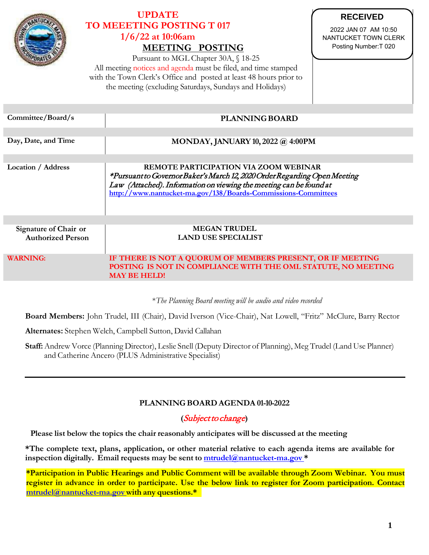

# **UPDATE TO MEEETING POSTING T 017 1/6/22 at 10:06am MEETING POSTING**

Pursuant to MGL Chapter 30A, § 18-25 All meeting notices and agenda must be filed, and time stamped with the Town Clerk's Office and posted at least 48 hours prior to the meeting (excluding Saturdays, Sundays and Holidays)

**RECEIVED**

2022 JAN 07 AM 10:50 NANTUCKET TOWN CLERK Posting Number:T 020

| Committee/Board/s                                 | <b>PLANNING BOARD</b>                                                                                                                                                                                                                                            |
|---------------------------------------------------|------------------------------------------------------------------------------------------------------------------------------------------------------------------------------------------------------------------------------------------------------------------|
|                                                   |                                                                                                                                                                                                                                                                  |
| Day, Date, and Time                               | <b>MONDAY, JANUARY 10, 2022 @ 4:00PM</b>                                                                                                                                                                                                                         |
|                                                   |                                                                                                                                                                                                                                                                  |
| <b>Location / Address</b>                         | <b>REMOTE PARTICIPATION VIA ZOOM WEBINAR</b><br>*Pursuant to Governor Baker's March 12, 2020 Order Regarding Open Meeting<br>Law (Attached). Information on viewing the meeting can be found at<br>http://www.nantucket-ma.gov/138/Boards-Commissions-Committees |
|                                                   |                                                                                                                                                                                                                                                                  |
| Signature of Chair or<br><b>Authorized Person</b> | <b>MEGAN TRUDEL</b><br><b>LAND USE SPECIALIST</b>                                                                                                                                                                                                                |
| <b>WARNING:</b>                                   | IF THERE IS NOT A QUORUM OF MEMBERS PRESENT, OR IF MEETING<br>POSTING IS NOT IN COMPLIANCE WITH THE OML STATUTE, NO MEETING<br><b>MAY BE HELD!</b>                                                                                                               |
|                                                   |                                                                                                                                                                                                                                                                  |

\**The Planning Board meeting will be audio and video recorded*

**Board Members:** John Trudel, III (Chair), David Iverson (Vice-Chair), Nat Lowell, "Fritz" McClure, Barry Rector

**Alternates:** Stephen Welch, Campbell Sutton, David Callahan

**Staff:**Andrew Vorce (Planning Director), Leslie Snell (Deputy Director of Planning), Meg Trudel (Land Use Planner) and Catherine Ancero (PLUS Administrative Specialist)

## **PLANNING BOARD AGENDA 01-10-2022**

## **(**Subject to change**)**

**Please list below the topics the chair reasonably anticipates will be discussed at the meeting**

**\*The complete text, plans, application, or other material relative to each agenda items are available for inspection digitally. Email requests may be sent to [mtrudel@nantucket-ma.gov](mailto:mtrudel@nantucket-ma.gov) \***

**\*Participation in Public Hearings and Public Comment will be available through Zoom Webinar. You must** register in advance in order to participate. Use the below link to register for Zoom participation. Contact **[mtrudel@nantucket-ma.gov](mailto:mtrudel@nantucket-ma.gov) with any questions.\***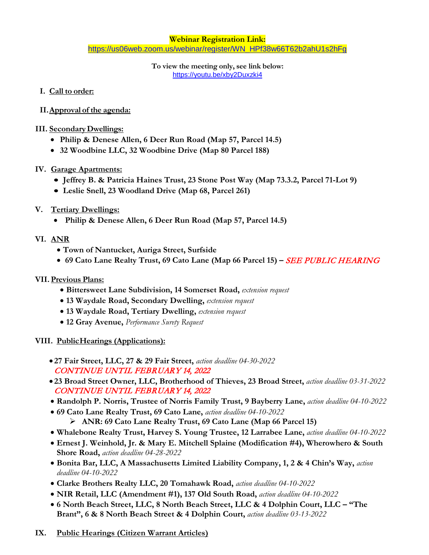**Webinar Registration Link:** [https://us06web.zoom.us/webinar/register/WN\\_HPf38w66T62b2ahU1s2hFg](https://us06web.zoom.us/webinar/register/WN_HPf38w66T62b2ahU1s2hFg)

> **To view the meeting only, see link below:** <https://youtu.be/xby2Duxzki4>

- **I. Call to order:**
- **II.Approval of the agenda:**
- **III. SecondaryDwellings:**
	- **Philip & Denese Allen, 6 Deer Run Road (Map 57, Parcel 14.5)**
	- **32 Woodbine LLC, 32 Woodbine Drive (Map 80 Parcel 188)**
- **IV. Garage Apartments:**
	- **Jeffrey B. & Patricia Haines Trust, 23 Stone Post Way (Map 73.3.2, Parcel 71-Lot 9)**
	- **Leslie Snell, 23 Woodland Drive (Map 68, Parcel 261)**
- **V. Tertiary Dwellings:**
	- **Philip & Denese Allen, 6 Deer Run Road (Map 57, Parcel 14.5)**
- **VI. ANR**
	- **Town of Nantucket, Auriga Street, Surfside**
	- **69 Cato Lane Realty Trust, 69 Cato Lane (Map 66 Parcel 15) –** SEE PUBLIC HEARING

#### **VII.Previous Plans:**

- **Bittersweet Lane Subdivision, 14 Somerset Road,** *extension request*
- **13 Waydale Road, Secondary Dwelling,** *extension request*
- **13 Waydale Road, Tertiary Dwelling,** *extension request*
- **12 Gray Avenue,** *Performance Surety Request*

#### **VIII. PublicHearings (Applications):**

- **27 Fair Street, LLC, 27 & 29 Fair Street,** *action deadline 04-30-2022* CONTINUE UNTIL FEBRUARY 14, 2022
- **23 Broad Street Owner, LLC, Brotherhood of Thieves, 23 Broad Street,** *action deadline 03-31-2022* CONTINUE UNTIL FEBRUARY 14, 2022
- **Randolph P. Norris, Trustee of Norris Family Trust, 9 Bayberry Lane,** *action deadline 04-10-2022*
- **69 Cato Lane Realty Trust, 69 Cato Lane,** *action deadline 04-10-2022*
	- **ANR: 69 Cato Lane Realty Trust, 69 Cato Lane (Map 66 Parcel 15)**
- **Whalebone Realty Trust, Harvey S. Young Trustee, 12 Larrabee Lane,** *action deadline 04-10-2022*
- **Ernest J. Weinhold, Jr. & Mary E. Mitchell Splaine (Modification #4), Wherowhero & South Shore Road,** *action deadline 04-28-2022*
- **Bonita Bar, LLC, A Massachusetts Limited Liability Company, 1, 2 & 4 Chin's Way,** *action deadline 04-10-2022*
- **Clarke Brothers Realty LLC, 20 Tomahawk Road,** *action deadline 04-10-2022*
- **NIR Retail, LLC (Amendment #1), 137 Old South Road,** *action deadline 04-10-2022*
- **6 North Beach Street, LLC, 8 North Beach Street, LLC & 4 Dolphin Court, LLC – "The Brant", 6 & 8 North Beach Street & 4 Dolphin Court,** *action deadline 03-13-2022*
- **IX. Public Hearings (Citizen Warrant Articles)**